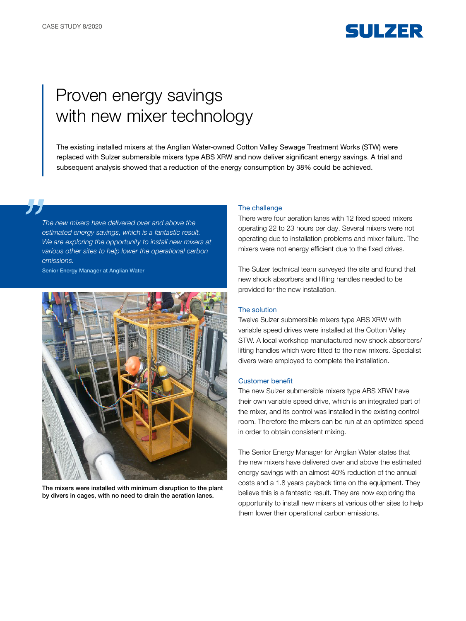

# Proven energy savings with new mixer technology

The existing installed mixers at the Anglian Water-owned Cotton Valley Sewage Treatment Works (STW) were replaced with Sulzer submersible mixers type ABS XRW and now deliver significant energy savings. A trial and subsequent analysis showed that a reduction of the energy consumption by 38% could be achieved.

*The new mixers have delivered over and above the estimated energy savings, which is a fantastic result. We are exploring the opportunity to install new mixers at various other sites to help lower the operational carbon emissions.* 

Senior Energy Manager at Anglian Water



The mixers were installed with minimum disruption to the plant by divers in cages, with no need to drain the aeration lanes.

#### The challenge

There were four aeration lanes with 12 fixed speed mixers operating 22 to 23 hours per day. Several mixers were not operating due to installation problems and mixer failure. The mixers were not energy efficient due to the fixed drives.

The Sulzer technical team surveyed the site and found that new shock absorbers and lifting handles needed to be provided for the new installation.

### The solution

Twelve Sulzer submersible mixers type ABS XRW with variable speed drives were installed at the Cotton Valley STW. A local workshop manufactured new shock absorbers/ lifting handles which were fitted to the new mixers. Specialist divers were employed to complete the installation.

#### Customer benefit

The new Sulzer submersible mixers type ABS XRW have their own variable speed drive, which is an integrated part of the mixer, and its control was installed in the existing control room. Therefore the mixers can be run at an optimized speed in order to obtain consistent mixing.

The Senior Energy Manager for Anglian Water states that the new mixers have delivered over and above the estimated energy savings with an almost 40% reduction of the annual costs and a 1.8 years payback time on the equipment. They believe this is a fantastic result. They are now exploring the opportunity to install new mixers at various other sites to help them lower their operational carbon emissions.